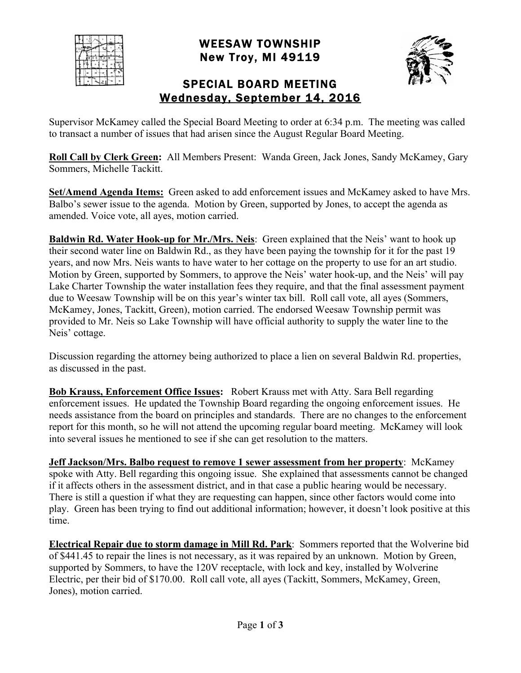|  | FF |  |    |
|--|----|--|----|
|  |    |  | v. |
|  |    |  |    |
|  |    |  |    |

WEESAW TOWNSHIP New Troy, MI 49119



## SPECIAL BOARD MEETING Wednesday, September 14, 2016

Supervisor McKamey called the Special Board Meeting to order at 6:34 p.m. The meeting was called to transact a number of issues that had arisen since the August Regular Board Meeting.

**Roll Call by Clerk Green:** All Members Present: Wanda Green, Jack Jones, Sandy McKamey, Gary Sommers, Michelle Tackitt.

**Set/Amend Agenda Items:** Green asked to add enforcement issues and McKamey asked to have Mrs. Balbo's sewer issue to the agenda. Motion by Green, supported by Jones, to accept the agenda as amended. Voice vote, all ayes, motion carried.

**Baldwin Rd. Water Hook-up for Mr./Mrs. Neis**: Green explained that the Neis' want to hook up their second water line on Baldwin Rd., as they have been paying the township for it for the past 19 years, and now Mrs. Neis wants to have water to her cottage on the property to use for an art studio. Motion by Green, supported by Sommers, to approve the Neis' water hook-up, and the Neis' will pay Lake Charter Township the water installation fees they require, and that the final assessment payment due to Weesaw Township will be on this year's winter tax bill. Roll call vote, all ayes (Sommers, McKamey, Jones, Tackitt, Green), motion carried. The endorsed Weesaw Township permit was provided to Mr. Neis so Lake Township will have official authority to supply the water line to the Neis' cottage.

Discussion regarding the attorney being authorized to place a lien on several Baldwin Rd. properties, as discussed in the past.

**Bob Krauss, Enforcement Office Issues:** Robert Krauss met with Atty. Sara Bell regarding enforcement issues. He updated the Township Board regarding the ongoing enforcement issues. He needs assistance from the board on principles and standards. There are no changes to the enforcement report for this month, so he will not attend the upcoming regular board meeting. McKamey will look into several issues he mentioned to see if she can get resolution to the matters.

**Jeff Jackson/Mrs. Balbo request to remove 1 sewer assessment from her property**: McKamey spoke with Atty. Bell regarding this ongoing issue. She explained that assessments cannot be changed if it affects others in the assessment district, and in that case a public hearing would be necessary. There is still a question if what they are requesting can happen, since other factors would come into play. Green has been trying to find out additional information; however, it doesn't look positive at this time.

**Electrical Repair due to storm damage in Mill Rd. Park**: Sommers reported that the Wolverine bid of \$441.45 to repair the lines is not necessary, as it was repaired by an unknown. Motion by Green, supported by Sommers, to have the 120V receptacle, with lock and key, installed by Wolverine Electric, per their bid of \$170.00. Roll call vote, all ayes (Tackitt, Sommers, McKamey, Green, Jones), motion carried.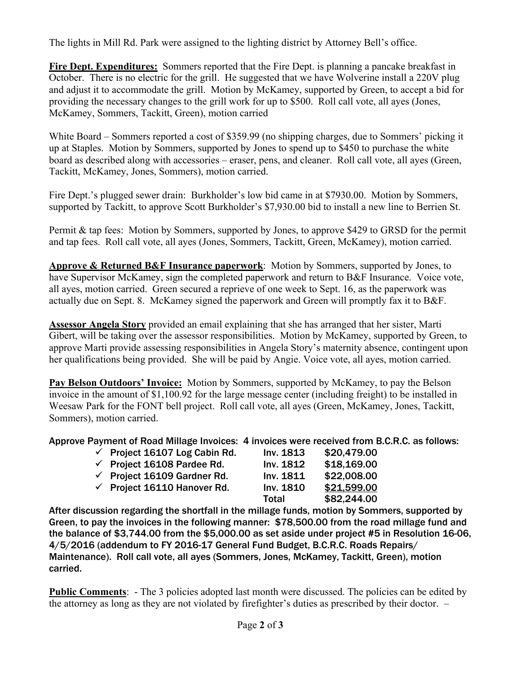The lights in Mill Rd. Park were assigned to the lighting district by Attorney Bell's office.

**Fire Dept. Expenditures:** Sommers reported that the Fire Dept. is planning a pancake breakfast in October. There is no electric for the grill. He suggested that we have Wolverine install a 220V plug and adjust it to accommodate the grill. Motion by McKamey, supported by Green, to accept a bid for providing the necessary changes to the grill work for up to \$500. Roll call vote, all ayes (Jones, McKamey, Sommers, Tackitt, Green), motion carried

White Board – Sommers reported a cost of \$359.99 (no shipping charges, due to Sommers' picking it up at Staples. Motion by Sommers, supported by Jones to spend up to \$450 to purchase the white board as described along with accessories – eraser, pens, and cleaner. Roll call vote, all ayes (Green, Tackitt, McKamey, Jones, Sommers), motion carried.

Fire Dept.'s plugged sewer drain: Burkholder's low bid came in at \$7930.00. Motion by Sommers, supported by Tackitt, to approve Scott Burkholder's \$7,930.00 bid to install a new line to Berrien St.

Permit & tap fees: Motion by Sommers, supported by Jones, to approve \$429 to GRSD for the permit and tap fees. Roll call vote, all ayes (Jones, Sommers, Tackitt, Green, McKamey), motion carried.

**Approve & Returned B&F Insurance paperwork**: Motion by Sommers, supported by Jones, to have Supervisor McKamey, sign the completed paperwork and return to B&F Insurance. Voice vote, all ayes, motion carried. Green secured a reprieve of one week to Sept. 16, as the paperwork was actually due on Sept. 8. McKamey signed the paperwork and Green will promptly fax it to B&F.

**Assessor Angela Story** provided an email explaining that she has arranged that her sister, Marti Gibert, will be taking over the assessor responsibilities. Motion by McKamey, supported by Green, to approve Marti provide assessing responsibilities in Angela Story's maternity absence, contingent upon her qualifications being provided. She will be paid by Angie. Voice vote, all ayes, motion carried.

**Pay Belson Outdoors' Invoice:** Motion by Sommers, supported by McKamey, to pay the Belson invoice in the amount of \$1,100.92 for the large message center (including freight) to be installed in Weesaw Park for the FONT bell project. Roll call vote, all ayes (Green, McKamey, Jones, Tackitt, Sommers), motion carried.

Approve Payment of Road Millage Invoices: 4 invoices were received from B.C.R.C. as follows:

| $\checkmark$ Project 16107 Log Cabin Rd. | Inv. 1813    | \$20,479.00 |
|------------------------------------------|--------------|-------------|
| $\checkmark$ Project 16108 Pardee Rd.    | Inv. 1812    | \$18,169.00 |
| $\checkmark$ Project 16109 Gardner Rd.   | Inv. 1811    | \$22,008.00 |
| $\checkmark$ Project 16110 Hanover Rd.   | Inv. 1810    | \$21,599.00 |
|                                          | <b>Total</b> | \$82,244.00 |

After discussion regarding the shortfall in the millage funds, motion by Sommers, supported by Green, to pay the invoices in the following manner: \$78,500.00 from the road millage fund and the balance of \$3,744.00 from the \$5,000.00 as set aside under project #5 in Resolution 16-06, 4/5/2016 (addendum to FY 2016-17 General Fund Budget, B.C.R.C. Roads Repairs/ Maintenance). Roll call vote, all ayes (Sommers, Jones, McKamey, Tackitt, Green), motion carried.

**Public Comments**: - The 3 policies adopted last month were discussed. The policies can be edited by the attorney as long as they are not violated by firefighter's duties as prescribed by their doctor. –